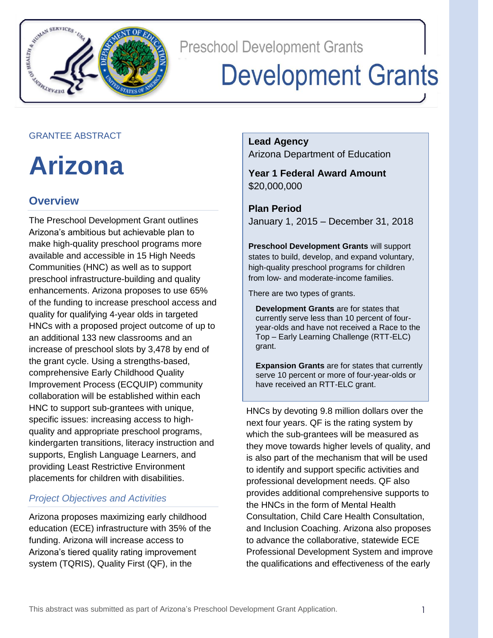

**Preschool Development Grants** 

# **Development Grants**

#### GRANTEE ABSTRACT

**Arizona** 

## **Overview**

The Preschool Development Grant outlines Arizona's ambitious but achievable plan to make high-quality preschool programs more available and accessible in 15 High Needs Communities (HNC) as well as to support preschool infrastructure-building and quality enhancements. Arizona proposes to use 65% of the funding to increase preschool access and quality for qualifying 4-year olds in targeted HNCs with a proposed project outcome of up to an additional 133 new classrooms and an increase of preschool slots by 3,478 by end of the grant cycle. Using a strengths-based, comprehensive Early Childhood Quality Improvement Process (ECQUIP) community collaboration will be established within each HNC to support sub-grantees with unique, specific issues: increasing access to highquality and appropriate preschool programs, kindergarten transitions, literacy instruction and supports, English Language Learners, and providing Least Restrictive Environment placements for children with disabilities.

## *Project Objectives and Activities*

Arizona proposes maximizing early childhood education (ECE) infrastructure with 35% of the funding. Arizona will increase access to Arizona's tiered quality rating improvement system (TQRIS), Quality First (QF), in the

**Lead Agency**

Arizona Department of Education

**Year 1 Federal Award Amount** \$20,000,000

**Plan Period** January 1, 2015 – December 31, 2018

**Preschool Development Grants** will support states to build, develop, and expand voluntary, high-quality preschool programs for children from low- and moderate-income families.

There are two types of grants.

**Development Grants** are for states that currently serve less than 10 percent of fouryear-olds and have not received a Race to the Top – Early Learning Challenge (RTT-ELC) grant.

**Expansion Grants** are for states that currently serve 10 percent or more of four-year-olds or have received an RTT-ELC grant.

HNCs by devoting 9.8 million dollars over the next four years. QF is the rating system by which the sub-grantees will be measured as they move towards higher levels of quality, and is also part of the mechanism that will be used to identify and support specific activities and professional development needs. QF also provides additional comprehensive supports to the HNCs in the form of Mental Health Consultation, Child Care Health Consultation, and Inclusion Coaching. Arizona also proposes to advance the collaborative, statewide ECE Professional Development System and improve the qualifications and effectiveness of the early